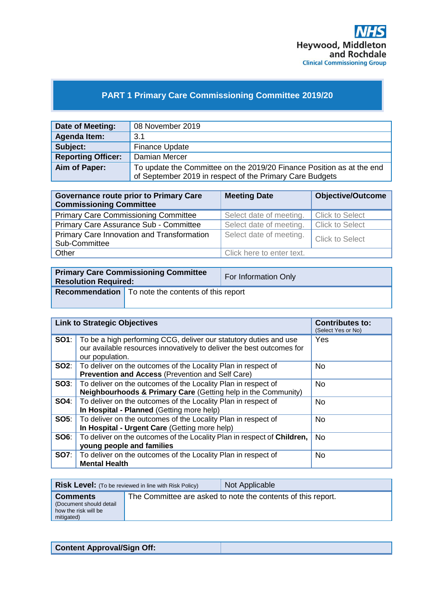

# **PART 1 Primary Care Commissioning Committee 2019/20**

| Date of Meeting:          | 08 November 2019                                                      |
|---------------------------|-----------------------------------------------------------------------|
| Agenda Item:              | 3.1                                                                   |
| Subject:                  | <b>Finance Update</b>                                                 |
| <b>Reporting Officer:</b> | Damian Mercer                                                         |
| Aim of Paper:             | To update the Committee on the 2019/20 Finance Position as at the end |
|                           | of September 2019 in respect of the Primary Care Budgets              |

| <b>Governance route prior to Primary Care</b><br><b>Commissioning Committee</b> | <b>Meeting Date</b>                               | <b>Objective/Outcome</b> |  |
|---------------------------------------------------------------------------------|---------------------------------------------------|--------------------------|--|
| <b>Primary Care Commissioning Committee</b>                                     | Select date of meeting.                           | <b>Click to Select</b>   |  |
| Primary Care Assurance Sub - Committee                                          | Select date of meeting.                           | <b>Click to Select</b>   |  |
| Primary Care Innovation and Transformation<br>Sub-Committee                     | Select date of meeting.<br><b>Click to Select</b> |                          |  |
| Other                                                                           | Click here to enter text.                         |                          |  |

| <b>Primary Care Commissioning Committee</b><br><b>Resolution Required:</b> |                                                             | For Information Only |
|----------------------------------------------------------------------------|-------------------------------------------------------------|----------------------|
|                                                                            | <b>Recommendation</b>   To note the contents of this report |                      |

|             | <b>Link to Strategic Objectives</b>                                                                                                                                        | <b>Contributes to:</b><br>(Select Yes or No) |
|-------------|----------------------------------------------------------------------------------------------------------------------------------------------------------------------------|----------------------------------------------|
|             | <b>SO1</b> : To be a high performing CCG, deliver our statutory duties and use<br>our available resources innovatively to deliver the best outcomes for<br>our population. | Yes                                          |
|             | <b>SO2:</b> To deliver on the outcomes of the Locality Plan in respect of<br><b>Prevention and Access (Prevention and Self Care)</b>                                       | <b>No</b>                                    |
|             | <b>SO3:</b>   To deliver on the outcomes of the Locality Plan in respect of<br>Neighbourhoods & Primary Care (Getting help in the Community)                               | <b>No</b>                                    |
| SO4:        | To deliver on the outcomes of the Locality Plan in respect of<br>In Hospital - Planned (Getting more help)                                                                 | <b>No</b>                                    |
|             | <b>SO5:</b> To deliver on the outcomes of the Locality Plan in respect of<br>In Hospital - Urgent Care (Getting more help)                                                 | <b>No</b>                                    |
| <b>SO6:</b> | To deliver on the outcomes of the Locality Plan in respect of Children,<br>young people and families                                                                       | <b>No</b>                                    |
| SO7:        | To deliver on the outcomes of the Locality Plan in respect of<br><b>Mental Health</b>                                                                                      | <b>No</b>                                    |

| <b>Risk Level:</b> (To be reviewed in line with Risk Policy)                     |  | Not Applicable                                               |
|----------------------------------------------------------------------------------|--|--------------------------------------------------------------|
| <b>Comments</b><br>(Document should detail<br>how the risk will be<br>mitigated) |  | The Committee are asked to note the contents of this report. |

| <b>Content Approval/Sign Off:</b> |
|-----------------------------------|
|-----------------------------------|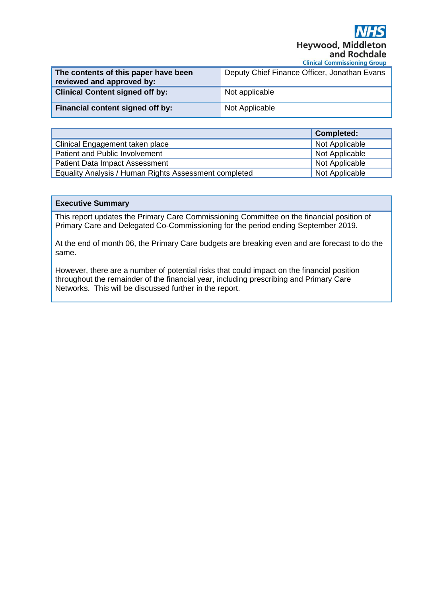**Heywood, Middle** and Rochdale **Clinical Commissioning Group** 

| The contents of this paper have been<br>reviewed and approved by: | Deputy Chief Finance Officer, Jonathan Evans |
|-------------------------------------------------------------------|----------------------------------------------|
| <b>Clinical Content signed off by:</b>                            | Not applicable                               |
| Financial content signed off by:                                  | Not Applicable                               |

|                                                       | <b>Completed:</b> |
|-------------------------------------------------------|-------------------|
| Clinical Engagement taken place                       | Not Applicable    |
| Patient and Public Involvement                        | Not Applicable    |
| <b>Patient Data Impact Assessment</b>                 | Not Applicable    |
| Equality Analysis / Human Rights Assessment completed | Not Applicable    |

## **Executive Summary**

This report updates the Primary Care Commissioning Committee on the financial position of Primary Care and Delegated Co-Commissioning for the period ending September 2019.

At the end of month 06, the Primary Care budgets are breaking even and are forecast to do the same.

However, there are a number of potential risks that could impact on the financial position throughout the remainder of the financial year, including prescribing and Primary Care Networks. This will be discussed further in the report.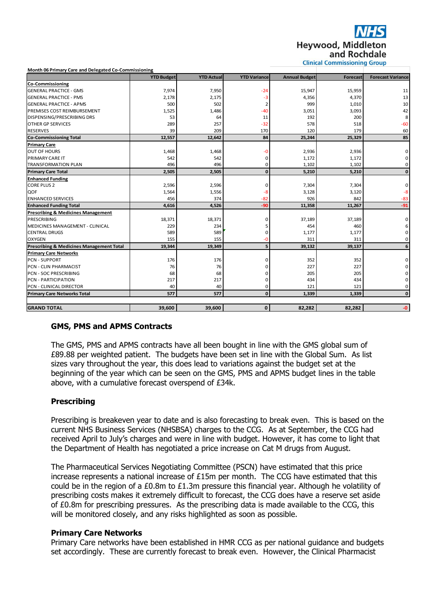**Heywood, Middle** and Rochdale

|  |  | <b>Clinical Commissioning Group</b> |  |
|--|--|-------------------------------------|--|
|--|--|-------------------------------------|--|

| Month 06 Primary Care and Delegated Co-Commissioning |                   |                   |                     |                      |                 |                          |
|------------------------------------------------------|-------------------|-------------------|---------------------|----------------------|-----------------|--------------------------|
|                                                      | <b>YTD Budget</b> | <b>YTD Actual</b> | <b>YTD Variance</b> | <b>Annual Budget</b> | <b>Forecast</b> | <b>Forecast Variance</b> |
| Co-Commissioning                                     |                   |                   |                     |                      |                 |                          |
| <b>GENERAL PRACTICE - GMS</b>                        | 7,974             | 7,950             | $-24$               | 15,947               | 15,959          | 11                       |
| <b>GENERAL PRACTICE - PMS</b>                        | 2,178             | 2,175             | -3                  | 4,356                | 4,370           | 13                       |
| <b>GENERAL PRACTICE - APMS</b>                       | 500               | 502               | $\overline{2}$      | 999                  | 1,010           | 10                       |
| PREMISES COST REIMBURSEMENT                          | 1,525             | 1,486             | $-40$               | 3,051                | 3,093           | 42                       |
| DISPENSING/PRESCRIBING DRS                           | 53                | 64                | 11                  | 192                  | 200             | 8                        |
| OTHER GP SERVICES                                    | 289               | 257               | $-32$               | 578                  | 518             | $-60$                    |
| <b>RESERVES</b>                                      | 39                | 209               | 170                 | 120                  | 179             | 60                       |
| <b>Co-Commissioning Total</b>                        | 12,557            | 12,642            | 84                  | 25,244               | 25,329          | 85                       |
| <b>Primary Care</b>                                  |                   |                   |                     |                      |                 |                          |
| <b>OUT OF HOURS</b>                                  | 1,468             | 1,468             | -0                  | 2,936                | 2,936           | 0                        |
| PRIMARY CARE IT                                      | 542               | 542               | 0                   | 1,172                | 1,172           | 0                        |
| <b>TRANSFORMATION PLAN</b>                           | 496               | 496               | $\Omega$            | 1,102                | 1,102           | 0                        |
| <b>Primary Care Total</b>                            | 2,505             | 2,505             | $\mathbf{0}$        | 5,210                | 5,210           | $\bf{0}$                 |
| <b>Enhanced Funding</b>                              |                   |                   |                     |                      |                 |                          |
| <b>CORE PLUS 2</b>                                   | 2,596             | 2,596             | 0                   | 7,304                | 7,304           | 0                        |
| QOF                                                  | 1,564             | 1,556             | -8                  | 3,128                | 3,120           | $-8$                     |
| <b>ENHANCED SERVICES</b>                             | 456               | 374               | $-82$               | 926                  | 842             | $-83$                    |
| <b>Enhanced Funding Total</b>                        | 4,616             | 4,526             | $-90$               | 11,358               | 11,267          | $-91$                    |
| <b>Prescribing &amp; Medicines Management</b>        |                   |                   |                     |                      |                 |                          |
| <b>PRESCRIBING</b>                                   | 18,371            | 18,371            | 0                   | 37,189               | 37,189          | 0                        |
| MEDICINES MANAGEMENT - CLINICAL                      | 229               | 234               | 5                   | 454                  | 460             | 6                        |
| <b>CENTRAL DRUGS</b>                                 | 589               | 589               | $\Omega$            | 1,177                | 1,177           | $\mathbf 0$              |
| <b>OXYGEN</b>                                        | 155               | 155               | -0                  | 311                  | 311             | 0                        |
| <b>Prescribing &amp; Medicines Management Total</b>  | 19,344            | 19,349            | 5                   | 39,132               | 39,137          | 6                        |
| <b>Primary Care Networks</b>                         |                   |                   |                     |                      |                 |                          |
| <b>PCN - SUPPORT</b>                                 | 176               | 176               | $\Omega$            | 352                  | 352             | 0                        |
| PCN - CLIN PHARMACIST                                | 76                | 76                | n                   | 227                  | 227             | 0                        |
| <b>PCN - SOC PRESCRIBING</b>                         | 68                | 68                | $\Omega$            | 205                  | 205             | 0                        |
| <b>PCN - PARTICIPATION</b>                           | 217               | 217               | $\Omega$            | 434                  | 434             | 0                        |
| PCN - CLINICAL DIRECTOR                              | 40                | 40                | 0                   | 121                  | 121             | 0                        |
| <b>Primary Care Networks Total</b>                   | 577               | 577               | $\mathbf 0$         | 1,339                | 1,339           | $\mathbf 0$              |
|                                                      |                   |                   |                     |                      |                 |                          |
| <b>GRAND TOTAL</b>                                   | 39,600            | 39,600            | $\mathbf{0}$        | 82,282               | 82,282          | $-0$                     |

# **GMS, PMS and APMS Contracts**

The GMS, PMS and APMS contracts have all been bought in line with the GMS global sum of £89.88 per weighted patient. The budgets have been set in line with the Global Sum. As list sizes vary throughout the year, this does lead to variations against the budget set at the beginning of the year which can be seen on the GMS, PMS and APMS budget lines in the table above, with a cumulative forecast overspend of £34k.

## **Prescribing**

Prescribing is breakeven year to date and is also forecasting to break even. This is based on the current NHS Business Services (NHSBSA) charges to the CCG. As at September, the CCG had received April to July's charges and were in line with budget. However, it has come to light that the Department of Health has negotiated a price increase on Cat M drugs from August.

The Pharmaceutical Services Negotiating Committee (PSCN) have estimated that this price increase represents a national increase of £15m per month. The CCG have estimated that this could be in the region of a £0.8m to £1.3m pressure this financial year. Although he volatility of prescribing costs makes it extremely difficult to forecast, the CCG does have a reserve set aside of £0.8m for prescribing pressures. As the prescribing data is made available to the CCG, this will be monitored closely, and any risks highlighted as soon as possible.

#### **Primary Care Networks**

Primary Care networks have been established in HMR CCG as per national guidance and budgets set accordingly. These are currently forecast to break even. However, the Clinical Pharmacist